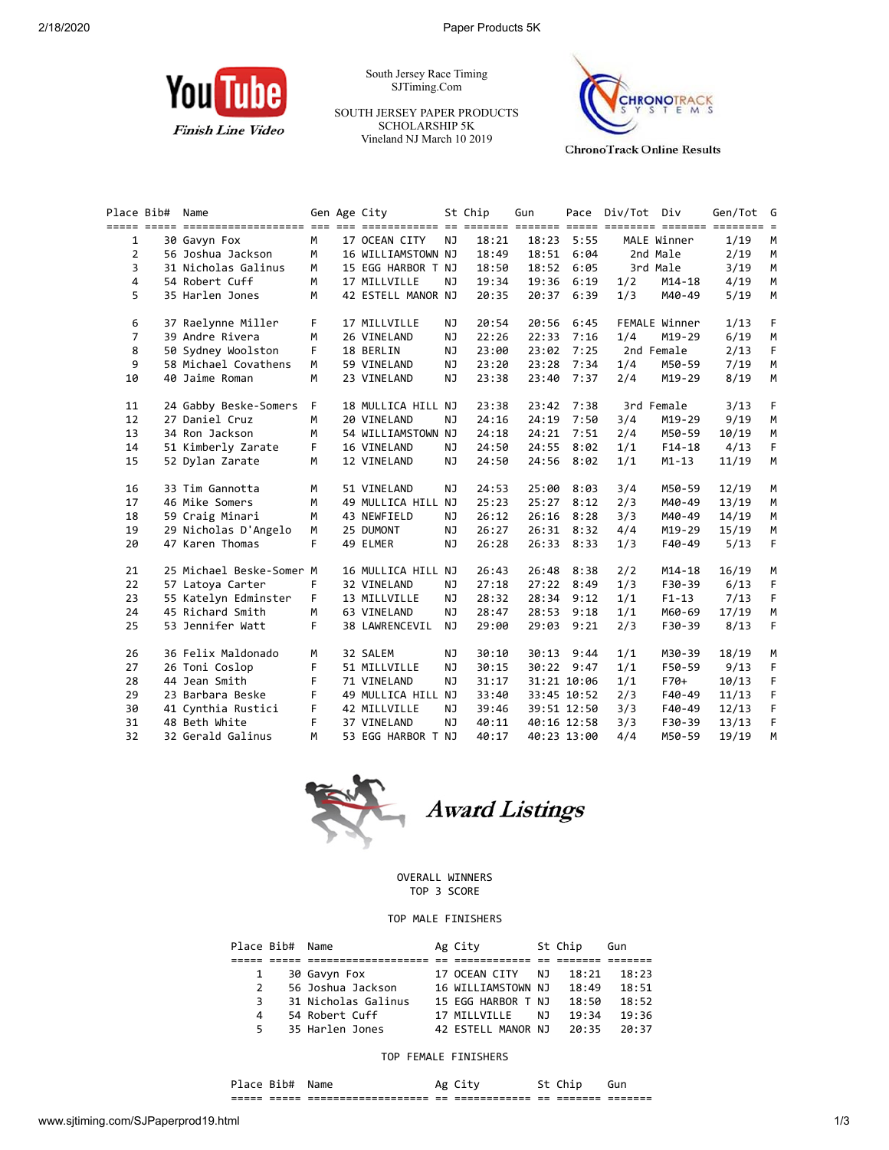

South Jersey Race Timing SJTiming.Com

SOUTH JERSEY PAPER PRODUCTS SCHOLARSHIP 5K Vineland NJ March 10 2019



**ChronoTrack Online Results** 

|                | Place Bib# | Name                     |    | Gen Age City       |           | St Chip | Gun   |             | Pace Div/Tot Div |               | Gen/Tot G |    |
|----------------|------------|--------------------------|----|--------------------|-----------|---------|-------|-------------|------------------|---------------|-----------|----|
|                |            |                          |    |                    |           |         |       |             |                  |               |           |    |
| $\mathbf{1}$   |            | 30 Gavyn Fox             | M  | 17 OCEAN CITY      | <b>NJ</b> | 18:21   | 18:23 | 5:55        |                  | MALE Winner   | 1/19      | M  |
| $\overline{2}$ |            | 56 Joshua Jackson        | M  | 16 WILLIAMSTOWN NJ |           | 18:49   |       | 18:51 6:04  |                  | 2nd Male      | 2/19      | M  |
| 3              |            | 31 Nicholas Galinus      | M  | 15 EGG HARBOR T NJ |           | 18:50   | 18:52 | 6:05        |                  | 3rd Male      | 3/19      | M  |
| $\overline{4}$ |            | 54 Robert Cuff           | M  | 17 MILLVILLE       | NJ        | 19:34   | 19:36 | 6:19        | 1/2              | $M14 - 18$    | 4/19      | M  |
| 5              |            | 35 Harlen Jones          | M  | 42 ESTELL MANOR NJ |           | 20:35   |       | 20:37 6:39  | 1/3              | M40-49        | 5/19      | M  |
| 6              |            | 37 Raelynne Miller       | F  | 17 MILLVILLE       | ΝJ        | 20:54   | 20:56 | 6:45        |                  | FEMALE Winner | 1/13      | F  |
| $\overline{7}$ |            | 39 Andre Rivera          | M  | 26 VINELAND        | NJ        | 22:26   | 22:33 | 7:16        | 1/4              | M19-29        | 6/19      | M  |
| 8              |            | 50 Sydney Woolston       | F  | 18 BERLIN          | NJ        | 23:00   | 23:02 | 7:25        |                  | 2nd Female    | 2/13      | F  |
| 9              |            | 58 Michael Covathens     | M  | 59 VINELAND        | NJ        | 23:20   | 23:28 | 7:34        | 1/4              | M50-59        | 7/19      | M  |
| 10             |            | 40 Jaime Roman           | M  | 23 VINELAND        | NJ        | 23:38   | 23:40 | 7:37        | 2/4              | M19-29        | 8/19      | M  |
| 11             |            | 24 Gabby Beske-Somers    | F. | 18 MULLICA HILL NJ |           | 23:38   | 23:42 | 7:38        |                  | 3rd Female    | 3/13      | F  |
| 12             |            | 27 Daniel Cruz           | М  | 20 VINELAND        | NJ        | 24:16   | 24:19 | 7:50        | 3/4              | M19-29        | 9/19      | M  |
| 13             |            | 34 Ron Jackson           | M  | 54 WILLIAMSTOWN NJ |           | 24:18   | 24:21 | 7:51        | 2/4              | M50-59        | 10/19     | M  |
| 14             |            | 51 Kimberly Zarate       | F. | 16 VINELAND        | NJ        | 24:50   | 24:55 | 8:02        | 1/1              | $F14-18$      | 4/13      | F. |
| 15             |            | 52 Dylan Zarate          | M  | 12 VINELAND        | <b>NJ</b> | 24:50   |       | 24:56 8:02  | 1/1              | $M1 - 13$     | 11/19     | M  |
| 16             |            | 33 Tim Gannotta          | М  | 51 VINELAND        | NJ.       | 24:53   | 25:00 | 8:03        | 3/4              | M50-59        | 12/19     | М  |
| 17             |            | 46 Mike Somers           | M  | 49 MULLICA HILL NJ |           | 25:23   | 25:27 | 8:12        | 2/3              | M40-49        | 13/19     | M  |
| 18             |            | 59 Craig Minari          | M  | 43 NEWFIELD        | NJ        | 26:12   | 26:16 | 8:28        | 3/3              | M40-49        | 14/19     | M  |
| 19             |            | 29 Nicholas D'Angelo     | M  | 25 DUMONT          | ΝJ        | 26:27   | 26:31 | 8:32        | 4/4              | M19-29        | 15/19     | M  |
| 20             |            | 47 Karen Thomas          | F  | 49 ELMER           | NJ        | 26:28   |       | 26:33 8:33  | 1/3              | F40-49        | 5/13      | F  |
| 21             |            | 25 Michael Beske-Somer M |    | 16 MULLICA HILL NJ |           | 26:43   | 26:48 | 8:38        | 2/2              | $M14 - 18$    | 16/19     | M  |
| 22             |            | 57 Latoya Carter         | F. | 32 VINELAND        | NJ.       | 27:18   | 27:22 | 8:49        | 1/3              | F30-39        | 6/13      | F  |
| 23             |            | 55 Katelyn Edminster     | F. | 13 MILLVILLE       | NJ        | 28:32   | 28:34 | 9:12        | 1/1              | $F1 - 13$     | 7/13      | F  |
| 24             |            | 45 Richard Smith         | M  | 63 VINELAND        | <b>NJ</b> | 28:47   | 28:53 | 9:18        | 1/1              | M60-69        | 17/19     | M  |
| 25             |            | 53 Jennifer Watt         | F. | 38 LAWRENCEVIL     | NJ        | 29:00   | 29:03 | 9:21        | 2/3              | F30-39        | 8/13      | F. |
| 26             |            | 36 Felix Maldonado       | М  | 32 SALEM           | ΝJ        | 30:10   |       | 30:13 9:44  | 1/1              | M30-39        | 18/19     | М  |
| 27             |            | 26 Toni Coslop           | F  | 51 MILLVILLE       | NJ        | 30:15   |       | 30:22 9:47  | 1/1              | F50-59        | 9/13      | F. |
| 28             |            | 44 Jean Smith            | F  | 71 VINELAND        | NJ        | 31:17   |       | 31:21 10:06 | 1/1              | F70+          | 10/13     | F  |
| 29             |            | 23 Barbara Beske         | F  | 49 MULLICA HILL NJ |           | 33:40   |       | 33:45 10:52 | 2/3              | F40-49        | 11/13     | F  |
| 30             |            | 41 Cynthia Rustici       | F  | 42 MILLVILLE       | NJ        | 39:46   |       | 39:51 12:50 | 3/3              | F40-49        | 12/13     | F  |
| 31             |            | 48 Beth White            | F  | 37 VINELAND        | NJ        | 40:11   |       | 40:16 12:58 | 3/3              | F30-39        | 13/13     | F  |
| 32             |            | 32 Gerald Galinus        | M  | 53 EGG HARBOR T NJ |           | 40:17   |       | 40:23 13:00 | 4/4              | M50-59        | 19/19     | M  |



## OVERALL WINNERS TOP 3 SCORE

## TOP MALE FINISHERS

| Place Bib# Name |                     | Ag City            |     | St Chip | Gun   |
|-----------------|---------------------|--------------------|-----|---------|-------|
|                 |                     |                    |     |         |       |
|                 | 30 Gavyn Fox        | 17 OCEAN CITY      | N J | 18:21   | 18:23 |
| $\mathcal{P}$   | 56 Joshua Jackson   | 16 WILLIAMSTOWN NJ |     | 18:49   | 18:51 |
| 3.              | 31 Nicholas Galinus | 15 EGG HARBOR T NJ |     | 18:50   | 18:52 |
| 4               | 54 Robert Cuff      | 17 MTIIVTIIF       | N J | 19:34   | 19:36 |
| 5.              | 35 Harlen Jones     | 42 ESTELL MANOR NJ |     | 20:35   | 20:37 |

## TOP FEMALE FINISHERS

|       | -61   | N                    | ۰с      |              |       |          |         |
|-------|-------|----------------------|---------|--------------|-------|----------|---------|
| _____ | _____ | -------------------- | $ -$    | ____________ | $- -$ | -------- | _______ |
| ----- | _____ | -------------------- | $=$ $-$ | ------------ | --    | -------  | ------- |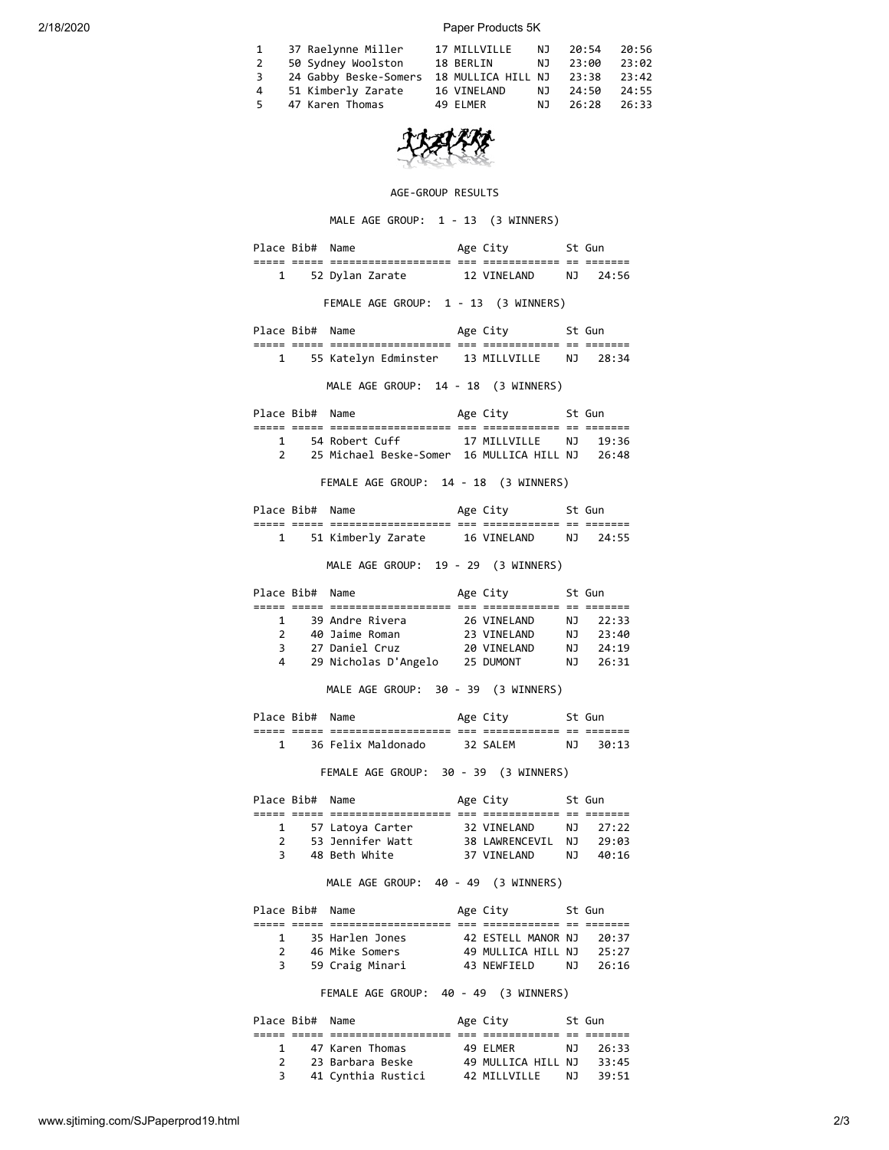2/18/2020 Paper Products 5K

| $\mathbf{1}$ | 37 Raelynne Miller                             | 17 MILLVILLE |      | NJ 20:54 | 20:56 |
|--------------|------------------------------------------------|--------------|------|----------|-------|
| 2            | 50 Sydney Woolston                             | 18 BERLIN    | NJ 1 | 23:00    | 23:02 |
| 3            | 24 Gabby Beske-Somers 18 MULLICA HILL NJ 23:38 |              |      |          | 23:42 |
| 4            | 51 Kimberly Zarate                             | 16 VINELAND  | NJ   | 24:50    | 24:55 |
| 5.           | 47 Karen Thomas                                | 49 ELMER     | N J  | 26:28    | 26:33 |

## AGE-GROUP RESULTS

MALE AGE GROUP: 1 - 13 (3 WINNERS)

|                              | Place Bib# Name |                                                                                                                               | Age City     St Gun                            |          |
|------------------------------|-----------------|-------------------------------------------------------------------------------------------------------------------------------|------------------------------------------------|----------|
|                              |                 | 1 52 Dylan Zarate 12 VINELAND NJ 24:56                                                                                        |                                                |          |
|                              |                 | FEMALE AGE GROUP: 1 - 13 (3 WINNERS)                                                                                          |                                                |          |
|                              | Place Bib# Name |                                                                                                                               | Age City 5t Gun                                |          |
|                              |                 | 1 55 Katelyn Edminster 13 MILLVILLE NJ 28:34                                                                                  |                                                |          |
|                              |                 | MALE AGE GROUP: 14 - 18 (3 WINNERS)                                                                                           |                                                |          |
|                              |                 | Place Bib# Name                                                                                                               | Age City 5t Gun                                |          |
|                              |                 |                                                                                                                               |                                                |          |
|                              |                 | 1 54 Robert Cuff 17 MILLVILLE NJ 19:36<br>2 25 Michael Beske-Somer 16 MULLICA HILL NJ 26:48                                   |                                                |          |
|                              |                 |                                                                                                                               |                                                |          |
|                              |                 | FEMALE AGE GROUP: 14 - 18 (3 WINNERS)                                                                                         |                                                |          |
|                              |                 | Place Bib# Name                                                                                                               | Age City              St Gun                   |          |
|                              |                 |                                                                                                                               |                                                |          |
|                              |                 | 1 51 Kimberly Zarate 16 VINELAND NJ 24:55                                                                                     |                                                |          |
|                              |                 | MALE AGE GROUP: 19 - 29 (3 WINNERS)                                                                                           |                                                |          |
|                              | Place Bib# Name |                                                                                                                               | Age City 5t Gun                                |          |
|                              |                 | 1 39 Andre Rivera                                                                                                             |                                                |          |
| $\mathbf{2}$                 |                 |                                                                                                                               |                                                |          |
| 3                            |                 |                                                                                                                               |                                                |          |
|                              |                 | 4 29 Nicholas D'Angelo 25 DUMONT NJ 26:31                                                                                     |                                                |          |
|                              |                 | MALE AGE GROUP: 30 - 39 (3 WINNERS)                                                                                           |                                                |          |
|                              |                 | Place Bib# Name                                                                                                               | Age City 5t Gun                                |          |
|                              |                 | 1 36 Felix Maldonado 32 SALEM                                                                                                 |                                                | NJ 30:13 |
|                              |                 | FEMALE AGE GROUP: 30 - 39 (3 WINNERS)                                                                                         |                                                |          |
|                              | Place Bib# Name |                                                                                                                               | Age City 5t Gun                                |          |
|                              |                 |                                                                                                                               |                                                |          |
|                              |                 |                                                                                                                               |                                                |          |
|                              |                 | 1 57 Latoya Carter 32 VINELAND NJ 27:22<br>2 53 Jennifer Watt 38 LAWRENCEVIL NJ 29:03<br>3 48 Beth White 37 VINELAND NJ 40:16 |                                                |          |
|                              |                 | MALE AGE GROUP: 40 - 49 (3 WINNERS)                                                                                           |                                                |          |
|                              | Place Bib# Name |                                                                                                                               | Age City                                       | St Gun   |
|                              |                 |                                                                                                                               |                                                |          |
| $\mathbf{1}$<br>$\mathbf{2}$ |                 | 35 Harlen Jones<br>46 Mike Somers                                                                                             | 42 ESTELL MANOR NJ<br>49 MULLICA HILL NJ 25:27 | 20:37    |
| 3                            |                 | 59 Craig Minari                                                                                                               |                                                |          |
|                              |                 | FEMALE AGE GROUP: 40 - 49 (3 WINNERS)                                                                                         |                                                |          |
|                              | Place Bib# Name |                                                                                                                               | St Gun<br>Age City                             |          |
|                              |                 |                                                                                                                               |                                                |          |
|                              |                 | 1 47 Karen Thomas 49 ELMER NJ                                                                                                 |                                                | 26:33    |